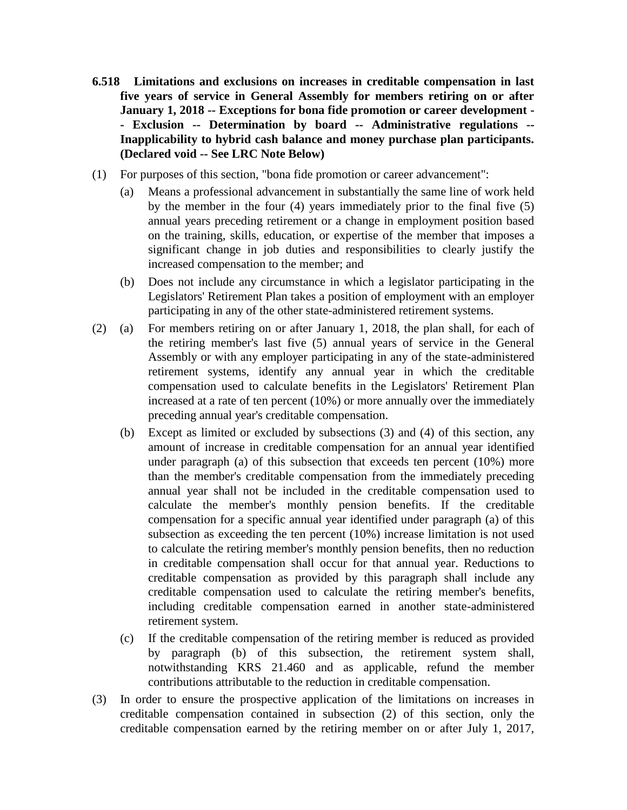- **6.518 Limitations and exclusions on increases in creditable compensation in last five years of service in General Assembly for members retiring on or after January 1, 2018 -- Exceptions for bona fide promotion or career development - - Exclusion -- Determination by board -- Administrative regulations -- Inapplicability to hybrid cash balance and money purchase plan participants. (Declared void -- See LRC Note Below)**
- (1) For purposes of this section, "bona fide promotion or career advancement":
	- (a) Means a professional advancement in substantially the same line of work held by the member in the four (4) years immediately prior to the final five (5) annual years preceding retirement or a change in employment position based on the training, skills, education, or expertise of the member that imposes a significant change in job duties and responsibilities to clearly justify the increased compensation to the member; and
	- (b) Does not include any circumstance in which a legislator participating in the Legislators' Retirement Plan takes a position of employment with an employer participating in any of the other state-administered retirement systems.
- (2) (a) For members retiring on or after January 1, 2018, the plan shall, for each of the retiring member's last five (5) annual years of service in the General Assembly or with any employer participating in any of the state-administered retirement systems, identify any annual year in which the creditable compensation used to calculate benefits in the Legislators' Retirement Plan increased at a rate of ten percent (10%) or more annually over the immediately preceding annual year's creditable compensation.
	- (b) Except as limited or excluded by subsections (3) and (4) of this section, any amount of increase in creditable compensation for an annual year identified under paragraph (a) of this subsection that exceeds ten percent (10%) more than the member's creditable compensation from the immediately preceding annual year shall not be included in the creditable compensation used to calculate the member's monthly pension benefits. If the creditable compensation for a specific annual year identified under paragraph (a) of this subsection as exceeding the ten percent (10%) increase limitation is not used to calculate the retiring member's monthly pension benefits, then no reduction in creditable compensation shall occur for that annual year. Reductions to creditable compensation as provided by this paragraph shall include any creditable compensation used to calculate the retiring member's benefits, including creditable compensation earned in another state-administered retirement system.
	- (c) If the creditable compensation of the retiring member is reduced as provided by paragraph (b) of this subsection, the retirement system shall, notwithstanding KRS 21.460 and as applicable, refund the member contributions attributable to the reduction in creditable compensation.
- (3) In order to ensure the prospective application of the limitations on increases in creditable compensation contained in subsection (2) of this section, only the creditable compensation earned by the retiring member on or after July 1, 2017,